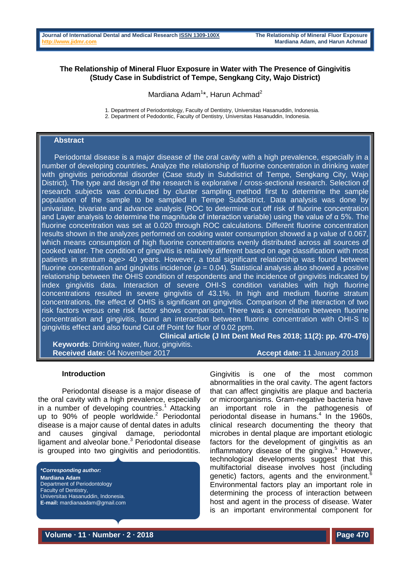## **The Relationship of Mineral Fluor Exposure in Water with The Presence of Gingivitis (Study Case in Subdistrict of Tempe, Sengkang City, Wajo District)**

Mardiana Adam<sup>1\*</sup>, Harun Achmad<sup>2</sup>

1. Department of Periodontology, Faculty of Dentistry, Universitas Hasanuddin, Indonesia. 2. Department of Pedodontic, Faculty of Dentistry, Universitas Hasanuddin, Indonesia.

## **Abstract**

 Periodontal disease is a major disease of the oral cavity with a high prevalence, especially in a number of developing countries**.** Analyze the relationship of fluorine concentration in drinking water with gingivitis periodontal disorder (Case study in Subdistrict of Tempe, Sengkang City, Wajo District). The type and design of the research is explorative / cross-sectional research. Selection of research subjects was conducted by cluster sampling method first to determine the sample population of the sample to be sampled in Tempe Subdistrict. Data analysis was done by univariate, bivariate and advance analysis (ROC to determine cut off risk of fluorine concentration and Layer analysis to determine the magnitude of interaction variable) using the value of  $\alpha$  5%. The fluorine concentration was set at 0.020 through ROC calculations. Different fluorine concentration results shown in the analyzes performed on cooking water consumption showed a p value of 0.067, which means consumption of high fluorine concentrations evenly distributed across all sources of cooked water. The condition of gingivitis is relatively different based on age classification with most patients in stratum age> 40 years. However, a total significant relationship was found between fluorine concentration and gingivitis incidence ( $p = 0.04$ ). Statistical analysis also showed a positive relationship between the OHIS condition of respondents and the incidence of gingivitis indicated by index gingivitis data. Interaction of severe OHI-S condition variables with high fluorine concentrations resulted in severe gingivitis of 43.1%. In high and medium fluorine stratum concentrations, the effect of OHIS is significant on gingivitis. Comparison of the interaction of two risk factors versus one risk factor shows comparison. There was a correlation between fluorine concentration and gingivitis, found an interaction between fluorine concentration with OHI-S to gingivitis effect and also found Cut off Point for fluor of 0.02 ppm.

**Clinical article (J Int Dent Med Res 2018; 11(2): pp. 470-476)** 

**Keywords**: Drinking water, fluor, gingivitis. **Received date:** 04 November 2017 **Accept date:** 11 January 2018

#### **Introduction**

Periodontal disease is a major disease of the oral cavity with a high prevalence, especially in a number of developing countries. <sup>1</sup> Attacking up to 90% of people worldwide. <sup>2</sup> Periodontal disease is a major cause of dental dates in adults and causes gingival damage, periodontal ligament and alveolar bone. <sup>3</sup> Periodontal disease is grouped into two gingivitis and periodontitis.

*\*Corresponding author:* **Mardiana Adam** Department of Periodontology Faculty of Dentistry, Universitas Hasanuddin, Indonesia. **E-mail:** mardianaadam@gmail.com Gingivitis is one of the most common abnormalities in the oral cavity. The agent factors that can affect gingivitis are plaque and bacteria or microorganisms. Gram-negative bacteria have an important role in the pathogenesis of periodontal disease in humans. 4 In the 1960s, clinical research documenting the theory that microbes in dental plaque are important etiologic factors for the development of gingivitis as an inflammatory disease of the gingiva. <sup>5</sup> However, technological developments suggest that this multifactorial disease involves host (including genetic) factors, agents and the environment.<sup>6</sup> Environmental factors play an important role in determining the process of interaction between host and agent in the process of disease. Water is an important environmental component for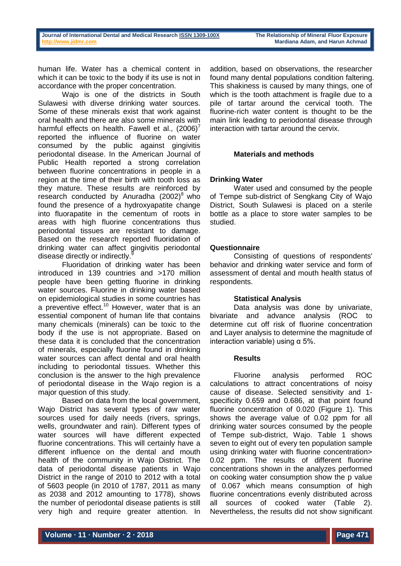human life. Water has a chemical content in which it can be toxic to the body if its use is not in accordance with the proper concentration.

Wajo is one of the districts in South Sulawesi with diverse drinking water sources. Some of these minerals exist that work against oral health and there are also some minerals with harmful effects on health. Fawell et al.,  $(2006)^7$ reported the influence of fluorine on water consumed by the public against gingivitis periodontal disease. In the American Journal of Public Health reported a strong correlation between fluorine concentrations in people in a region at the time of their birth with tooth loss as they mature. These results are reinforced by research conducted by Anuradha  $(2002)^8$  who found the presence of a hydroxyapatite change into fluorapatite in the cementum of roots in areas with high fluorine concentrations thus periodontal tissues are resistant to damage. Based on the research reported fluoridation of drinking water can affect gingivitis periodontal disease directly or indirectly.<sup>9</sup>

Fluoridation of drinking water has been introduced in 139 countries and >170 million people have been getting fluorine in drinking water sources. Fluorine in drinking water based on epidemiological studies in some countries has a preventive effect.<sup>10</sup> However, water that is an essential component of human life that contains many chemicals (minerals) can be toxic to the body if the use is not appropriate. Based on these data it is concluded that the concentration of minerals, especially fluorine found in drinking water sources can affect dental and oral health including to periodontal tissues. Whether this conclusion is the answer to the high prevalence of periodontal disease in the Wajo region is a major question of this study.

Based on data from the local government, Wajo District has several types of raw water sources used for daily needs (rivers, springs, wells, groundwater and rain). Different types of water sources will have different expected fluorine concentrations. This will certainly have a different influence on the dental and mouth health of the community in Wajo District. The data of periodontal disease patients in Wajo District in the range of 2010 to 2012 with a total of 5603 people (in 2010 of 1787, 2011 as many as 2038 and 2012 amounting to 1778), shows the number of periodontal disease patients is still very high and require greater attention. In

addition, based on observations, the researcher found many dental populations condition faltering. This shakiness is caused by many things, one of which is the tooth attachment is fragile due to a pile of tartar around the cervical tooth. The fluorine-rich water content is thought to be the main link leading to periodontal disease through interaction with tartar around the cervix.

# **Materials and methods**

## **Drinking Water**

Water used and consumed by the people of Tempe sub-district of Sengkang City of Wajo District, South Sulawesi is placed on a sterile bottle as a place to store water samples to be studied.

# **Questionnaire**

Consisting of questions of respondents' behavior and drinking water service and form of assessment of dental and mouth health status of respondents.

#### **Statistical Analysis**

Data analysis was done by univariate, bivariate and advance analysis (ROC to determine cut off risk of fluorine concentration and Layer analysis to determine the magnitude of interaction variable) using  $α$  5%.

#### **Results**

Fluorine analysis performed ROC calculations to attract concentrations of noisy cause of disease. Selected sensitivity and 1 specificity 0.659 and 0.686, at that point found fluorine concentration of 0.020 (Figure 1). This shows the average value of 0.02 ppm for all drinking water sources consumed by the people of Tempe sub-district, Wajo. Table 1 shows seven to eight out of every ten population sample using drinking water with fluorine concentration> 0.02 ppm. The results of different fluorine concentrations shown in the analyzes performed on cooking water consumption show the p value of 0.067 which means consumption of high fluorine concentrations evenly distributed across all sources of cooked water (Table 2). Nevertheless, the results did not show significant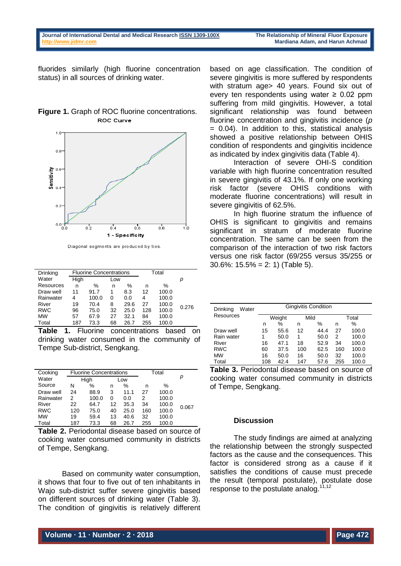fluorides similarly (high fluorine concentration status) in all sources of drinking water.

| Figure 1. Graph of ROC fluorine concentrations. |
|-------------------------------------------------|
| <b>ROC Curve</b>                                |



Diagonal segments are produced by ties.

| <b>Drinking</b> |      | <b>Fluorine Concentrations</b> |     | Total |     |       |       |
|-----------------|------|--------------------------------|-----|-------|-----|-------|-------|
| Water           | High |                                | Low |       |     |       | р     |
| Resources       | n    | ℅                              | n   | %     | n   | $\%$  |       |
| Draw well       | 11   | 91.7                           | 1   | 8.3   | 12  | 100.0 |       |
| Rainwater       | 4    | 100.0                          | 0   | 0.0   | 4   | 100.0 |       |
| River           | 19   | 70.4                           | 8   | 29.6  | 27  | 100.0 | 0.276 |
| <b>RWC</b>      | 96   | 75.0                           | 32  | 25.0  | 128 | 100.0 |       |
| <b>MW</b>       | 57   | 67.9                           | 27  | 32.1  | 84  | 100.0 |       |
| Total           | 187  | 73.3                           | 68  | 26.7  | 255 | 100.0 |       |

**Table 1.** Fluorine concentrations based on drinking water consumed in the community of Tempe Sub-district, Sengkang.

| Cooking    |     | <b>Fluorine Concentrations</b> |     | Total |     |       |       |
|------------|-----|--------------------------------|-----|-------|-----|-------|-------|
| Water      |     | High                           | Low |       |     |       | р     |
| Source     | N   | %                              | n   | %     | n   | $\%$  |       |
| Draw well  | 24  | 88.9                           | 3   | 11.1  | 27  | 100.0 |       |
| Rainwater  | 2   | 100.0                          | 0   | 0.0   | 2   | 100.0 |       |
| River      | 22  | 64.7                           | 12  | 35.3  | 34  | 100.0 |       |
| <b>RWC</b> | 120 | 75.0                           | 40  | 25.0  | 160 | 100.0 | 0.067 |
| <b>MW</b>  | 19  | 59.4                           | 13  | 40.6  | 32  | 100.0 |       |
| Total      | 187 | 73.3                           | 68  | 26.7  | 255 | 100.0 |       |

**Table 2.** Periodontal disease based on source of cooking water consumed community in districts of Tempe, Sengkang.

Based on community water consumption, it shows that four to five out of ten inhabitants in Wajo sub-district suffer severe gingivitis based on different sources of drinking water (Table 3). The condition of gingivitis is relatively different based on age classification. The condition of severe gingivitis is more suffered by respondents with stratum age> 40 years. Found six out of every ten respondents using water  $\geq 0.02$  ppm suffering from mild gingivitis. However, a total significant relationship was found between fluorine concentration and gingivitis incidence (*p* = 0.04). In addition to this, statistical analysis showed a positive relationship between OHIS condition of respondents and gingivitis incidence as indicated by index gingivitis data (Table 4).

Interaction of severe OHI-S condition variable with high fluorine concentration resulted in severe gingivitis of 43.1%. If only one working risk factor (severe OHIS conditions with moderate fluorine concentrations) will result in severe gingivitis of 62.5%.

In high fluorine stratum the influence of OHIS is significant to gingivitis and remains significant in stratum of moderate fluorine concentration. The same can be seen from the comparison of the interaction of two risk factors versus one risk factor (69/255 versus 35/255 or 30.6%: 15.5% = 2: 1) (Table 5).

| Drinking<br>Water |        | <b>Gingivitis Condition</b> |      |      |       |       |  |  |  |
|-------------------|--------|-----------------------------|------|------|-------|-------|--|--|--|
| <b>Resources</b>  | Weight |                             | Mild |      | Total |       |  |  |  |
|                   | n      | ℅                           | n    | ℅    | n     | ℅     |  |  |  |
| Draw well         | 15     | 55.6                        | 12   | 44.4 | 27    | 100.0 |  |  |  |
| Rain water        | 1      | 50.0                        | 1    | 50.0 | 2     | 100.0 |  |  |  |
| River             | 16     | 47.1                        | 18   | 52.9 | 34    | 100.0 |  |  |  |
| <b>RWC</b>        | 60     | 37.5                        | 100  | 62.5 | 160   | 100.0 |  |  |  |
| <b>MW</b>         | 16     | 50.0                        | 16   | 50.0 | 32    | 100.0 |  |  |  |
| Total             | 108    | 42.4                        | 147  | 57.6 | 255   | 100.0 |  |  |  |

**Table 3.** Periodontal disease based on source of cooking water consumed community in districts of Tempe, Sengkang.

#### **Discussion**

The study findings are aimed at analyzing the relationship between the strongly suspected factors as the cause and the consequences. This factor is considered strong as a cause if it satisfies the conditions of cause must precede the result (temporal postulate), postulate dose response to the postulate analog.<sup>11,12</sup>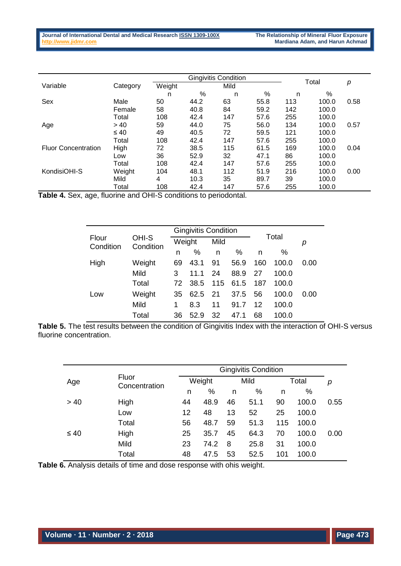|                            |           |        |      | <b>Gingivitis Condition</b> |      |       |       |      |
|----------------------------|-----------|--------|------|-----------------------------|------|-------|-------|------|
| Variable                   | Category  | Weight |      | Mild                        |      | Total |       | р    |
|                            |           | n      | %    | n                           | %    | n     | %     |      |
| Sex                        | Male      | 50     | 44.2 | 63                          | 55.8 | 113   | 100.0 | 0.58 |
|                            | Female    | 58     | 40.8 | 84                          | 59.2 | 142   | 100.0 |      |
|                            | Total     | 108    | 42.4 | 147                         | 57.6 | 255   | 100.0 |      |
| Age                        | > 40      | 59     | 44.0 | 75                          | 56.0 | 134   | 100.0 | 0.57 |
|                            | $\leq 40$ | 49     | 40.5 | 72                          | 59.5 | 121   | 100.0 |      |
|                            | Total     | 108    | 42.4 | 147                         | 57.6 | 255   | 100.0 |      |
| <b>Fluor Concentration</b> | High      | 72     | 38.5 | 115                         | 61.5 | 169   | 100.0 | 0.04 |
|                            | Low       | 36     | 52.9 | 32                          | 47.1 | 86    | 100.0 |      |
|                            | Total     | 108    | 42.4 | 147                         | 57.6 | 255   | 100.0 |      |
| KondisiOHI-S               | Weight    | 104    | 48.1 | 112                         | 51.9 | 216   | 100.0 | 0.00 |
|                            | Mild      | 4      | 10.3 | 35                          | 89.7 | 39    | 100.0 |      |
|                            | Total     | 108    | 42.4 | 147                         | 57.6 | 255   | 100.0 |      |

**Table 4.** Sex, age, fluorine and OHI-S conditions to periodontal.

|        | Weight             |      | Mild |      |                             | p     |       |
|--------|--------------------|------|------|------|-----------------------------|-------|-------|
|        | n                  | %    | n    | %    | n                           | ℅     |       |
| Weight | 69                 | 43.1 | 91   | 56.9 | 160                         | 100.0 | 0.00  |
| Mild   | 3                  | 11.1 | 24   | 88.9 | 27                          | 100.0 |       |
| Total  | 72                 | 38.5 | 115  | 61.5 | 187                         | 100.0 |       |
| Weight | 35                 | 62.5 | 21   | 37.5 | 56                          | 100.0 | 0.00  |
| Mild   |                    | 8.3  | 11   | 91.7 | 12                          | 100.0 |       |
| Total  | 36                 | 52.9 | 32   | 47.1 | 68                          | 100.0 |       |
|        | OHI-S<br>Condition |      |      |      | <b>Gingivitis Condition</b> |       | Total |

**Table 5.** The test results between the condition of Gingivitis Index with the interaction of OHI-S versus fluorine concentration.

|           |                        |    |        |    | <b>Gingivitis Condition</b> |     |       |      |
|-----------|------------------------|----|--------|----|-----------------------------|-----|-------|------|
| Age       | Fluor<br>Concentration |    | Weight |    | Mild                        |     | Total | р    |
|           |                        | n  | %      | n  | %                           | n   | %     |      |
| > 40      | High                   | 44 | 48.9   | 46 | 51.1                        | 90  | 100.0 | 0.55 |
|           | Low                    | 12 | 48     | 13 | 52                          | 25  | 100.0 |      |
|           | Total                  | 56 | 48.7   | 59 | 51.3                        | 115 | 100.0 |      |
| $\leq 40$ | High                   | 25 | 35.7   | 45 | 64.3                        | 70  | 100.0 | 0.00 |
|           | Mild                   | 23 | 74.2   | 8  | 25.8                        | 31  | 100.0 |      |
|           | Total                  | 48 | 47.5   | 53 | 52.5                        | 101 | 100.0 |      |

**Table 6.** Analysis details of time and dose response with ohis weight.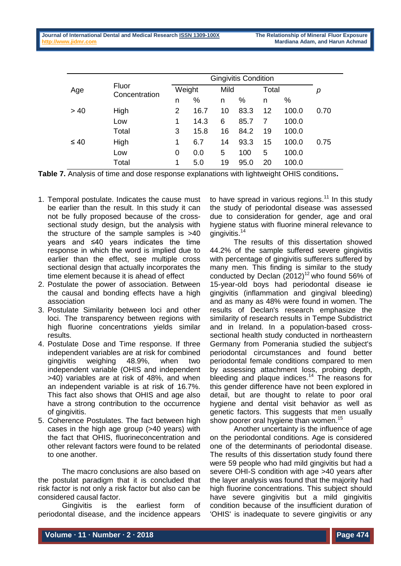|           |                        |   | <b>Gingivitis Condition</b> |    |      |    |       |      |
|-----------|------------------------|---|-----------------------------|----|------|----|-------|------|
| Age       | Fluor<br>Concentration |   | Weight                      |    | Mild |    | Total | р    |
|           |                        | n | %                           | n  | %    | n  | ℅     |      |
| > 40      | High                   | 2 | 16.7                        | 10 | 83.3 | 12 | 100.0 | 0.70 |
|           | Low                    | 1 | 14.3                        | 6  | 85.7 |    | 100.0 |      |
|           | Total                  | 3 | 15.8                        | 16 | 84.2 | 19 | 100.0 |      |
| $\leq 40$ | High                   | 1 | 6.7                         | 14 | 93.3 | 15 | 100.0 | 0.75 |
|           | Low                    | 0 | 0.0                         | 5  | 100  | 5  | 100.0 |      |
|           | Total                  | 1 | 5.0                         | 19 | 95.0 | 20 | 100.0 |      |

**Table 7.** Analysis of time and dose response explanations with lightweight OHIS conditions**.**

- 1. Temporal postulate. Indicates the cause must be earlier than the result. In this study it can not be fully proposed because of the crosssectional study design, but the analysis with the structure of the sample samples is >40 years and ≤40 years indicates the time response in which the word is implied due to earlier than the effect, see multiple cross sectional design that actually incorporates the time element because it is ahead of effect
- 2. Postulate the power of association. Between the causal and bonding effects have a high association
- 3. Postulate Similarity between loci and other loci. The transparency between regions with high fluorine concentrations yields similar results.
- 4. Postulate Dose and Time response. If three independent variables are at risk for combined gingivitis weighing 48.9%, when two independent variable (OHIS and independent >40) variables are at risk of 48%, and when an independent variable is at risk of 16.7%. This fact also shows that OHIS and age also have a strong contribution to the occurrence of gingivitis.
- 5. Coherence Postulates. The fact between high cases in the high age group (>40 years) with the fact that OHIS, fluorineconcentration and other relevant factors were found to be related to one another.

The macro conclusions are also based on the postulat paradigm that it is concluded that risk factor is not only a risk factor but also can be considered causal factor.

Gingivitis is the earliest form of periodontal disease, and the incidence appears

to have spread in various regions.<sup>11</sup> In this study the study of periodontal disease was assessed due to consideration for gender, age and oral hygiene status with fluorine mineral relevance to gingivitis. 14

The results of this dissertation showed 44.2% of the sample suffered severe gingivitis with percentage of gingivitis sufferers suffered by many men. This finding is similar to the study conducted by Declan  $(2012)^{12}$  who found 56% of 15-year-old boys had periodontal disease ie gingivitis (inflammation and gingival bleeding) and as many as 48% were found in women. The results of Declan's research emphasize the similarity of research results in Tempe Subdistrict and in Ireland. In a population-based crosssectional health study conducted in northeastern Germany from Pomerania studied the subject's periodontal circumstances and found better periodontal female conditions compared to men by assessing attachment loss, probing depth, bleeding and plaque indices.<sup>14</sup> The reasons for this gender difference have not been explored in detail, but are thought to relate to poor oral hygiene and dental visit behavior as well as genetic factors. This suggests that men usually show poorer oral hygiene than women.<sup>15</sup>

Another uncertainty is the influence of age on the periodontal conditions. Age is considered one of the determinants of periodontal disease. The results of this dissertation study found there were 59 people who had mild gingivitis but had a severe OHI-S condition with age >40 years after the layer analysis was found that the majority had high fluorine concentrations. This subject should have severe gingivitis but a mild gingivitis condition because of the insufficient duration of 'OHIS' is inadequate to severe gingivitis or any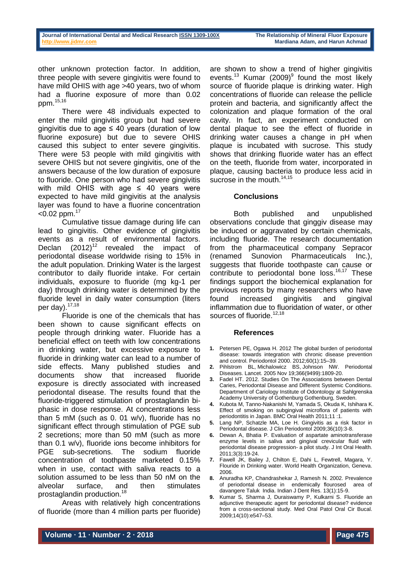other unknown protection factor. In addition, three people with severe gingivitis were found to have mild OHIS with age >40 years, two of whom had a fluorine exposure of more than 0.02 ppm.15,16

There were 48 individuals expected to enter the mild gingivitis group but had severe gingivitis due to age  $\leq$  40 years (duration of low fluorine exposure) but due to severe OHIS caused this subject to enter severe gingivitis. There were 53 people with mild gingivitis with severe OHIS but not severe gingivitis, one of the answers because of the low duration of exposure to fluoride. One person who had severe gingivitis with mild OHIS with age  $\leq$  40 years were expected to have mild gingivitis at the analysis layer was found to have a fluorine concentration  $<$ 0.02 ppm. $17$ 

Cumulative tissue damage during life can lead to gingivitis. Other evidence of gingivitis events as a result of environmental factors. Declan  $(2012)^{12}$  revealed the impact of periodontal disease worldwide rising to 15% in the adult population. Drinking Water is the largest contributor to daily fluoride intake. For certain individuals, exposure to fluoride (mg kg-1 per day) through drinking water is determined by the fluoride level in daily water consumption (liters per day).<sup>17,18</sup>

Fluoride is one of the chemicals that has been shown to cause significant effects on people through drinking water. Fluoride has a beneficial effect on teeth with low concentrations in drinking water, but excessive exposure to fluoride in drinking water can lead to a number of side effects. Many published studies and documents show that increased fluoride exposure is directly associated with increased periodontal disease. The results found that the fluoride-triggered stimulation of prostaglandin biphasic in dose response. At concentrations less than 5 mM (such as 0. 01 w/v), fluoride has no significant effect through stimulation of PGE sub 2 secretions; more than 50 mM (such as more than 0.1 w/v), fluoride ions become inhibitors for PGE sub-secretions. The sodium fluoride concentration of toothpaste marketed 0.15% when in use, contact with saliva reacts to a solution assumed to be less than 50 nM on the alveolar surface, and then stimulates prostaglandin production.<sup>18</sup>

Areas with relatively high concentrations of fluoride (more than 4 million parts per fluoride) are shown to show a trend of higher gingivitis events.<sup>13</sup> Kumar (2009)<sup>9</sup> found the most likely source of fluoride plaque is drinking water. High concentrations of fluoride can release the pellicle protein and bacteria, and significantly affect the colonization and plaque formation of the oral cavity. In fact, an experiment conducted on dental plaque to see the effect of fluoride in drinking water causes a change in pH when plaque is incubated with sucrose. This study shows that drinking fluoride water has an effect on the teeth, fluoride from water, incorporated in plaque, causing bacteria to produce less acid in sucrose in the mouth.<sup>14,15</sup>

### **Conclusions**

Both published and unpublished observations conclude that ginggiv disease may be induced or aggravated by certain chemicals, including fluoride. The research documentation from the pharmaceutical company Sepracor (renamed Sunovion Pharmaceuticals Inc.), suggests that fluoride toothpaste can cause or contribute to periodontal bone loss.<sup>16,17</sup> These findings support the biochemical explanation for previous reports by many researchers who have found increased gingivitis and gingival inflammation due to fluoridation of water, or other sources of fluoride.<sup>12,18</sup>

#### **References**

- **1.** Petersen PE, Ogawa H. 2012 The global burden of periodontal disease: towards integration with chronic disease prevention and control. Periodontol 2000. 2012;60(1):15–39.
- **2.** [Pihlstrom BL,](https://www.ncbi.nlm.nih.gov/pubmed/?term=Pihlstrom%20BL%5BAuthor%5D&cauthor=true&cauthor_uid=16298220) [Michalowicz BS,](https://www.ncbi.nlm.nih.gov/pubmed/?term=Michalowicz%20BS%5BAuthor%5D&cauthor=true&cauthor_uid=16298220) [Johnson NW.](https://www.ncbi.nlm.nih.gov/pubmed/?term=Johnson%20NW%5BAuthor%5D&cauthor=true&cauthor_uid=16298220) Periodontal Diseases. Lancet. 2005 Nov 19;366(9499):1809-20.
- **3.** Fadel HT. 2012. Studies On The Associations between Dental Caries, Periodontal Disease and Different Systemic Conditions. Department of Cariology Institute of Odontology at Sahlgrenska Academy University of Gothenburg Gothenburg, Sweden.
- **4.** Kubota M, Tanno-Nakanishi M, Yamada S, Okuda K, Ishihara K. Effect of smoking on subgingival microflora of patients with periodontitis in Japan. BMC Oral Health 2011;11 :1.
- **5.** Lang NP, Schatzle MA, Loe H. Gingivitis as a risk factor in Periodontal disease. J Clin Periodontol 2009;36(10):3-8.
- **6.** Dewan A, Bhatia P. Evaluation of aspartate aminotransferase enzyme levels in saliva and gingival crevicular fluid with periodontal disease progression- a pilot study. J Int Oral Health. 2011;3(3):19-24.
- **7.** Fawell JK, Bailey J, Chilton E, Dahi L, Fewtrell, Magara, Y. Flouride in Drinking water. World Health Organization, Geneva. 2006.
- **8.** Anuradha KP, Chandrashekar J, Ramesh N. 2002. Prevalence of periodontal disease in endemically flourosed area of davangere Taluk India. Indian J Dent Res. 13(1):15-9.
- **9.** Kumar S, Sharma J, Duraiswamy P, Kulkarni S. Fluoride an adjunctive therapeutic agent for periodontal disease? evidence from a cross-sectional study. Med Oral Patol Oral Cir Bucal. 2009;14(10):e547–53.